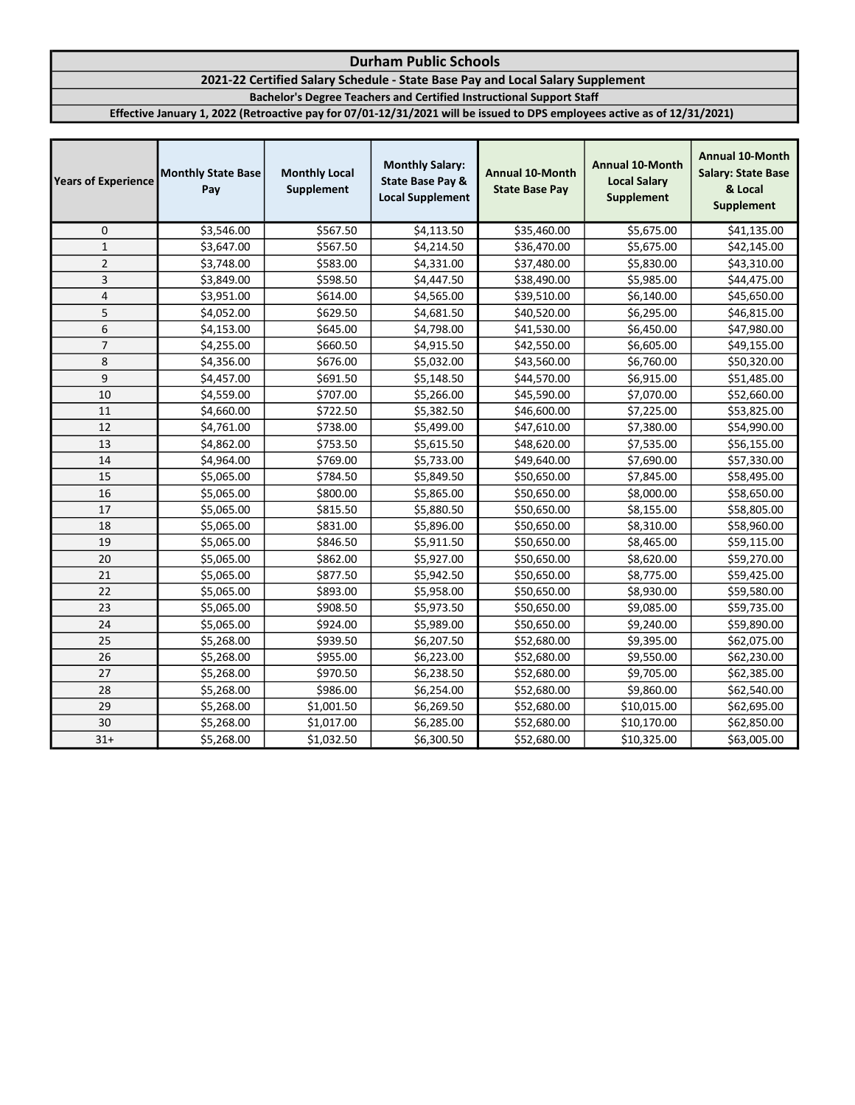# 2021-22 Certified Salary Schedule - State Base Pay and Local Salary Supplement

Bachelor's Degree Teachers and Certified Instructional Support Staff

| <b>Years of Experience</b> | <b>Monthly State Base</b><br>Pay | <b>Monthly Local</b><br>Supplement | <b>Monthly Salary:</b><br><b>State Base Pay &amp;</b><br><b>Local Supplement</b> | <b>Annual 10-Month</b><br><b>State Base Pay</b> | Annual 10-Month<br><b>Local Salary</b><br><b>Supplement</b> | <b>Annual 10-Month</b><br><b>Salary: State Base</b><br>& Local<br>Supplement |
|----------------------------|----------------------------------|------------------------------------|----------------------------------------------------------------------------------|-------------------------------------------------|-------------------------------------------------------------|------------------------------------------------------------------------------|
| 0                          | \$3,546.00                       | \$567.50                           | \$4,113.50                                                                       | \$35,460.00                                     | \$5,675.00                                                  | \$41,135.00                                                                  |
| $\mathbf{1}$               | \$3,647.00                       | \$567.50                           | \$4,214.50                                                                       | \$36,470.00                                     | \$5,675.00                                                  | \$42,145.00                                                                  |
| $\overline{2}$             | \$3,748.00                       | \$583.00                           | \$4,331.00                                                                       | \$37,480.00                                     | \$5,830.00                                                  | \$43,310.00                                                                  |
| 3                          | \$3,849.00                       | \$598.50                           | \$4,447.50                                                                       | \$38,490.00                                     | \$5,985.00                                                  | \$44,475.00                                                                  |
| $\pmb{4}$                  | \$3,951.00                       | \$614.00                           | \$4,565.00                                                                       | \$39,510.00                                     | \$6,140.00                                                  | \$45,650.00                                                                  |
| 5                          | \$4,052.00                       | \$629.50                           | \$4,681.50                                                                       | \$40,520.00                                     | \$6,295.00                                                  | \$46,815.00                                                                  |
| 6                          | \$4,153.00                       | \$645.00                           | \$4,798.00                                                                       | \$41,530.00                                     | \$6,450.00                                                  | \$47,980.00                                                                  |
| $\overline{7}$             | \$4,255.00                       | \$660.50                           | \$4,915.50                                                                       | \$42,550.00                                     | \$6,605.00                                                  | \$49,155.00                                                                  |
| 8                          | \$4,356.00                       | \$676.00                           | \$5,032.00                                                                       | \$43,560.00                                     | \$6,760.00                                                  | \$50,320.00                                                                  |
| 9                          | \$4,457.00                       | \$691.50                           | \$5,148.50                                                                       | \$44,570.00                                     | \$6,915.00                                                  | \$51,485.00                                                                  |
| 10                         | \$4,559.00                       | \$707.00                           | \$5,266.00                                                                       | \$45,590.00                                     | \$7,070.00                                                  | \$52,660.00                                                                  |
| 11                         | \$4,660.00                       | \$722.50                           | \$5,382.50                                                                       | \$46,600.00                                     | \$7,225.00                                                  | \$53,825.00                                                                  |
| 12                         | \$4,761.00                       | \$738.00                           | \$5,499.00                                                                       | \$47,610.00                                     | \$7,380.00                                                  | \$54,990.00                                                                  |
| 13                         | \$4,862.00                       | \$753.50                           | \$5,615.50                                                                       | \$48,620.00                                     | \$7,535.00                                                  | \$56,155.00                                                                  |
| 14                         | \$4,964.00                       | \$769.00                           | \$5,733.00                                                                       | \$49,640.00                                     | \$7,690.00                                                  | \$57,330.00                                                                  |
| 15                         | \$5,065.00                       | \$784.50                           | \$5,849.50                                                                       | \$50,650.00                                     | \$7,845.00                                                  | \$58,495.00                                                                  |
| 16                         | \$5,065.00                       | \$800.00                           | \$5,865.00                                                                       | \$50,650.00                                     | \$8,000.00                                                  | \$58,650.00                                                                  |
| 17                         | \$5,065.00                       | \$815.50                           | \$5,880.50                                                                       | \$50,650.00                                     | \$8,155.00                                                  | \$58,805.00                                                                  |
| 18                         | \$5,065.00                       | \$831.00                           | \$5,896.00                                                                       | \$50,650.00                                     | \$8,310.00                                                  | \$58,960.00                                                                  |
| 19                         | \$5,065.00                       | \$846.50                           | \$5,911.50                                                                       | \$50,650.00                                     | \$8,465.00                                                  | \$59,115.00                                                                  |
| 20                         | \$5,065.00                       | \$862.00                           | \$5,927.00                                                                       | \$50,650.00                                     | \$8,620.00                                                  | \$59,270.00                                                                  |
| 21                         | \$5,065.00                       | \$877.50                           | \$5,942.50                                                                       | \$50,650.00                                     | \$8,775.00                                                  | \$59,425.00                                                                  |
| 22                         | \$5,065.00                       | \$893.00                           | \$5,958.00                                                                       | \$50,650.00                                     | \$8,930.00                                                  | \$59,580.00                                                                  |
| 23                         | \$5,065.00                       | \$908.50                           | \$5,973.50                                                                       | \$50,650.00                                     | \$9,085.00                                                  | \$59,735.00                                                                  |
| 24                         | \$5,065.00                       | \$924.00                           | \$5,989.00                                                                       | \$50,650.00                                     | \$9,240.00                                                  | \$59,890.00                                                                  |
| 25                         | \$5,268.00                       | \$939.50                           | \$6,207.50                                                                       | \$52,680.00                                     | \$9,395.00                                                  | \$62,075.00                                                                  |
| 26                         | \$5,268.00                       | \$955.00                           | \$6,223.00                                                                       | \$52,680.00                                     | \$9,550.00                                                  | \$62,230.00                                                                  |
| 27                         | \$5,268.00                       | \$970.50                           | \$6,238.50                                                                       | \$52,680.00                                     | \$9,705.00                                                  | \$62,385.00                                                                  |
| 28                         | \$5,268.00                       | \$986.00                           | \$6,254.00                                                                       | \$52,680.00                                     | \$9,860.00                                                  | \$62,540.00                                                                  |
| 29                         | \$5,268.00                       | \$1,001.50                         | \$6,269.50                                                                       | \$52,680.00                                     | \$10,015.00                                                 | \$62,695.00                                                                  |
| 30                         | \$5,268.00                       | \$1,017.00                         | \$6,285.00                                                                       | \$52,680.00                                     | \$10,170.00                                                 | \$62,850.00                                                                  |
| $31+$                      | \$5,268.00                       | \$1,032.50                         | \$6,300.50                                                                       | \$52,680.00                                     | \$10,325.00                                                 | \$63,005.00                                                                  |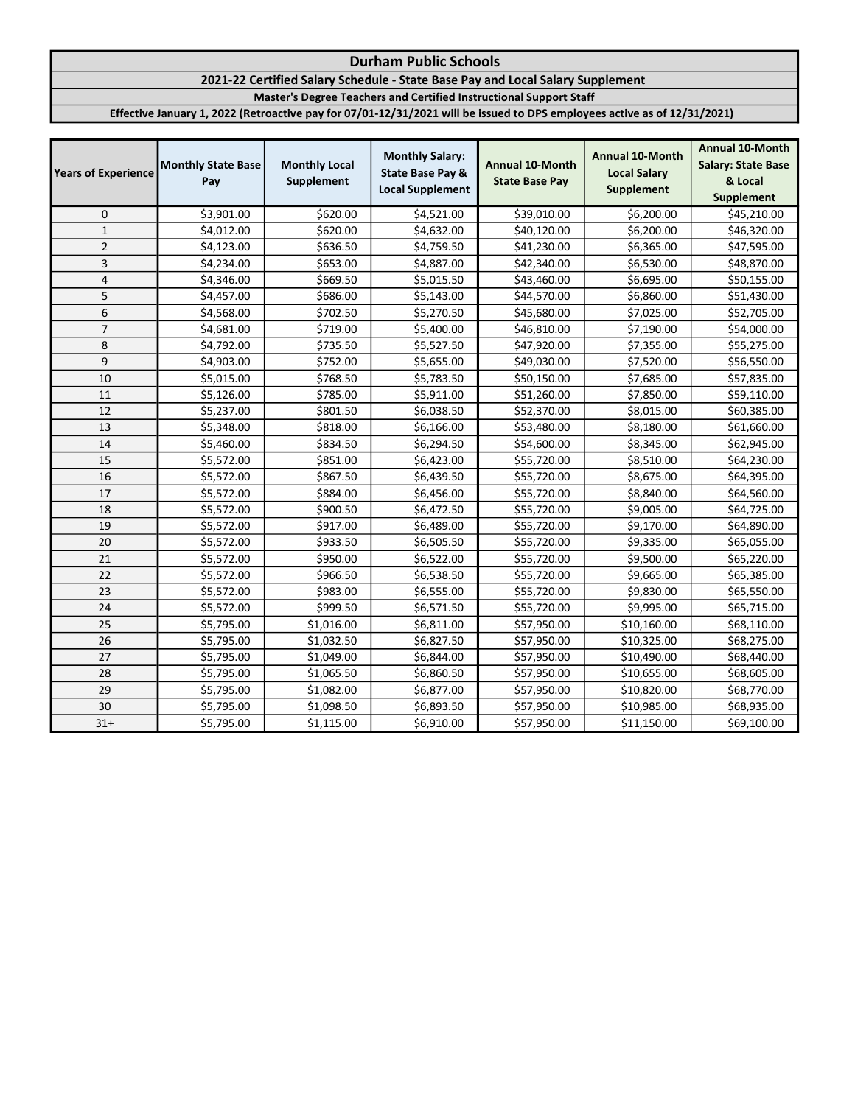## 2021-22 Certified Salary Schedule - State Base Pay and Local Salary Supplement

Master's Degree Teachers and Certified Instructional Support Staff

| <b>Years of Experience</b> | <b>Monthly State Base</b><br>Pay | <b>Monthly Local</b><br>Supplement | <b>Monthly Salary:</b><br><b>State Base Pay &amp;</b><br><b>Local Supplement</b> | <b>Annual 10-Month</b><br><b>State Base Pay</b> | <b>Annual 10-Month</b><br><b>Local Salary</b><br><b>Supplement</b> | <b>Annual 10-Month</b><br><b>Salary: State Base</b><br>& Local<br><b>Supplement</b> |
|----------------------------|----------------------------------|------------------------------------|----------------------------------------------------------------------------------|-------------------------------------------------|--------------------------------------------------------------------|-------------------------------------------------------------------------------------|
| 0                          | \$3,901.00                       | \$620.00                           | \$4,521.00                                                                       | \$39,010.00                                     | \$6,200.00                                                         | \$45,210.00                                                                         |
| $\mathbf{1}$               | \$4,012.00                       | \$620.00                           | \$4,632.00                                                                       | \$40,120.00                                     | \$6,200.00                                                         | \$46,320.00                                                                         |
| $\overline{2}$             | \$4,123.00                       | \$636.50                           | \$4,759.50                                                                       | \$41,230.00                                     | \$6,365.00                                                         | \$47,595.00                                                                         |
| 3                          | \$4,234.00                       | \$653.00                           | \$4,887.00                                                                       | \$42,340.00                                     | \$6,530.00                                                         | \$48,870.00                                                                         |
| $\overline{4}$             | \$4,346.00                       | \$669.50                           | \$5,015.50                                                                       | \$43,460.00                                     | \$6,695.00                                                         | \$50,155.00                                                                         |
| 5                          | \$4,457.00                       | \$686.00                           | \$5,143.00                                                                       | \$44,570.00                                     | \$6,860.00                                                         | \$51,430.00                                                                         |
| 6                          | \$4,568.00                       | \$702.50                           | \$5,270.50                                                                       | \$45,680.00                                     | \$7,025.00                                                         | \$52,705.00                                                                         |
| $\overline{7}$             | \$4,681.00                       | \$719.00                           | \$5,400.00                                                                       | \$46,810.00                                     | \$7,190.00                                                         | \$54,000.00                                                                         |
| 8                          | \$4,792.00                       | \$735.50                           | \$5,527.50                                                                       | \$47,920.00                                     | \$7,355.00                                                         | \$55,275.00                                                                         |
| 9                          | \$4,903.00                       | \$752.00                           | \$5,655.00                                                                       | \$49,030.00                                     | \$7,520.00                                                         | \$56,550.00                                                                         |
| 10                         | \$5,015.00                       | \$768.50                           | \$5,783.50                                                                       | \$50,150.00                                     | \$7,685.00                                                         | \$57,835.00                                                                         |
| 11                         | \$5,126.00                       | \$785.00                           | \$5,911.00                                                                       | \$51,260.00                                     | \$7,850.00                                                         | \$59,110.00                                                                         |
| 12                         | \$5,237.00                       | \$801.50                           | \$6,038.50                                                                       | \$52,370.00                                     | \$8,015.00                                                         | \$60,385.00                                                                         |
| 13                         | \$5,348.00                       | \$818.00                           | \$6,166.00                                                                       | \$53,480.00                                     | \$8,180.00                                                         | \$61,660.00                                                                         |
| 14                         | \$5,460.00                       | \$834.50                           | \$6,294.50                                                                       | \$54,600.00                                     | \$8,345.00                                                         | \$62,945.00                                                                         |
| 15                         | \$5,572.00                       | \$851.00                           | \$6,423.00                                                                       | \$55,720.00                                     | \$8,510.00                                                         | \$64,230.00                                                                         |
| 16                         | \$5,572.00                       | \$867.50                           | \$6,439.50                                                                       | \$55,720.00                                     | \$8,675.00                                                         | \$64,395.00                                                                         |
| 17                         | \$5,572.00                       | \$884.00                           | \$6,456.00                                                                       | \$55,720.00                                     | \$8,840.00                                                         | \$64,560.00                                                                         |
| 18                         | \$5,572.00                       | \$900.50                           | \$6,472.50                                                                       | \$55,720.00                                     | \$9,005.00                                                         | \$64,725.00                                                                         |
| 19                         | \$5,572.00                       | \$917.00                           | \$6,489.00                                                                       | \$55,720.00                                     | \$9,170.00                                                         | \$64,890.00                                                                         |
| 20                         | \$5,572.00                       | \$933.50                           | \$6,505.50                                                                       | \$55,720.00                                     | \$9,335.00                                                         | \$65,055.00                                                                         |
| 21                         | \$5,572.00                       | \$950.00                           | \$6,522.00                                                                       | \$55,720.00                                     | \$9,500.00                                                         | \$65,220.00                                                                         |
| 22                         | \$5,572.00                       | \$966.50                           | \$6,538.50                                                                       | \$55,720.00                                     | \$9,665.00                                                         | \$65,385.00                                                                         |
| 23                         | \$5,572.00                       | \$983.00                           | \$6,555.00                                                                       | \$55,720.00                                     | \$9,830.00                                                         | \$65,550.00                                                                         |
| 24                         | \$5,572.00                       | \$999.50                           | \$6,571.50                                                                       | \$55,720.00                                     | \$9,995.00                                                         | \$65,715.00                                                                         |
| 25                         | \$5,795.00                       | \$1,016.00                         | \$6,811.00                                                                       | \$57,950.00                                     | \$10,160.00                                                        | \$68,110.00                                                                         |
| 26                         | \$5,795.00                       | \$1,032.50                         | \$6,827.50                                                                       | \$57,950.00                                     | \$10,325.00                                                        | \$68,275.00                                                                         |
| 27                         | \$5,795.00                       | \$1,049.00                         | \$6,844.00                                                                       | \$57,950.00                                     | \$10,490.00                                                        | \$68,440.00                                                                         |
| 28                         | \$5,795.00                       | \$1,065.50                         | \$6,860.50                                                                       | \$57,950.00                                     | \$10,655.00                                                        | \$68,605.00                                                                         |
| 29                         | \$5,795.00                       | \$1,082.00                         | \$6,877.00                                                                       | \$57,950.00                                     | \$10,820.00                                                        | \$68,770.00                                                                         |
| 30                         | \$5,795.00                       | \$1,098.50                         | \$6,893.50                                                                       | \$57,950.00                                     | \$10,985.00                                                        | \$68,935.00                                                                         |
| $31+$                      | \$5,795.00                       | \$1,115.00                         | \$6,910.00                                                                       | \$57,950.00                                     | \$11,150.00                                                        | \$69,100.00                                                                         |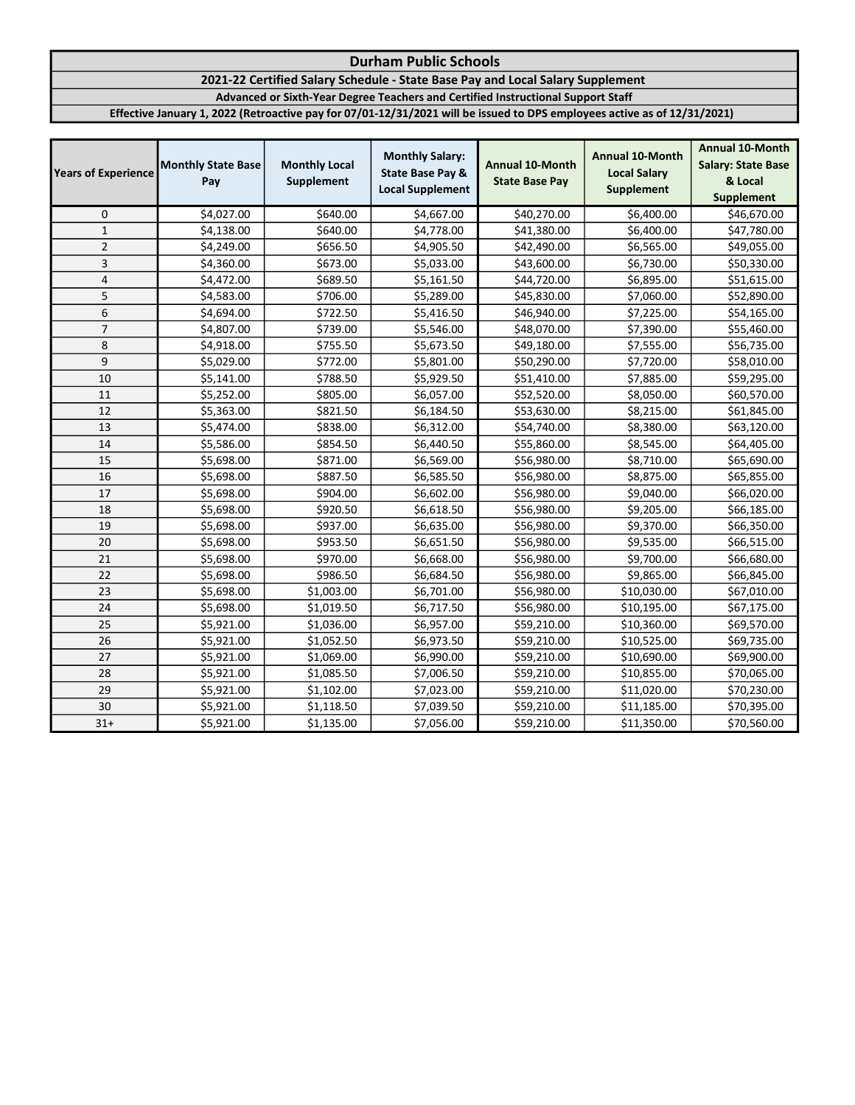2021-22 Certified Salary Schedule - State Base Pay and Local Salary Supplement

Advanced or Sixth-Year Degree Teachers and Certified Instructional Support Staff

| <b>Years of Experience</b> | <b>Monthly State Base</b><br>Pay | <b>Monthly Local</b><br>Supplement | <b>Monthly Salary:</b><br><b>State Base Pay &amp;</b><br><b>Local Supplement</b> | <b>Annual 10-Month</b><br><b>State Base Pay</b> | <b>Annual 10-Month</b><br><b>Local Salary</b><br>Supplement | <b>Annual 10-Month</b><br><b>Salary: State Base</b><br>& Local<br><b>Supplement</b> |
|----------------------------|----------------------------------|------------------------------------|----------------------------------------------------------------------------------|-------------------------------------------------|-------------------------------------------------------------|-------------------------------------------------------------------------------------|
| 0                          | \$4,027.00                       | \$640.00                           | \$4,667.00                                                                       | \$40,270.00                                     | \$6,400.00                                                  | \$46,670.00                                                                         |
| $\mathbf{1}$               | \$4,138.00                       | \$640.00                           | \$4,778.00                                                                       | \$41,380.00                                     | \$6,400.00                                                  | \$47,780.00                                                                         |
| $\overline{2}$             | \$4,249.00                       | \$656.50                           | \$4,905.50                                                                       | \$42,490.00                                     | \$6,565.00                                                  | \$49,055.00                                                                         |
| 3                          | \$4,360.00                       | \$673.00                           | \$5,033.00                                                                       | \$43,600.00                                     | \$6,730.00                                                  | \$50,330.00                                                                         |
| $\overline{4}$             | \$4,472.00                       | \$689.50                           | \$5,161.50                                                                       | \$44,720.00                                     | \$6,895.00                                                  | \$51,615.00                                                                         |
| 5                          | \$4,583.00                       | \$706.00                           | \$5,289.00                                                                       | \$45,830.00                                     | \$7,060.00                                                  | \$52,890.00                                                                         |
| $\overline{6}$             | \$4,694.00                       | \$722.50                           | \$5,416.50                                                                       | \$46,940.00                                     | \$7,225.00                                                  | \$54,165.00                                                                         |
| $\overline{7}$             | \$4,807.00                       | \$739.00                           | \$5,546.00                                                                       | \$48,070.00                                     | \$7,390.00                                                  | \$55,460.00                                                                         |
| 8                          | \$4,918.00                       | \$755.50                           | \$5,673.50                                                                       | \$49,180.00                                     | \$7,555.00                                                  | \$56,735.00                                                                         |
| 9                          | \$5,029.00                       | \$772.00                           | \$5,801.00                                                                       | \$50,290.00                                     | \$7,720.00                                                  | \$58,010.00                                                                         |
| 10                         | \$5,141.00                       | \$788.50                           | \$5,929.50                                                                       | \$51,410.00                                     | \$7,885.00                                                  | \$59,295.00                                                                         |
| 11                         | \$5,252.00                       | \$805.00                           | \$6,057.00                                                                       | \$52,520.00                                     | \$8,050.00                                                  | \$60,570.00                                                                         |
| 12                         | \$5,363.00                       | \$821.50                           | \$6,184.50                                                                       | \$53,630.00                                     | \$8,215.00                                                  | \$61,845.00                                                                         |
| 13                         | \$5,474.00                       | \$838.00                           | \$6,312.00                                                                       | \$54,740.00                                     | \$8,380.00                                                  | \$63,120.00                                                                         |
| 14                         | \$5,586.00                       | \$854.50                           | \$6,440.50                                                                       | \$55,860.00                                     | \$8,545.00                                                  | \$64,405.00                                                                         |
| 15                         | \$5,698.00                       | \$871.00                           | \$6,569.00                                                                       | \$56,980.00                                     | \$8,710.00                                                  | \$65,690.00                                                                         |
| 16                         | \$5,698.00                       | \$887.50                           | \$6,585.50                                                                       | \$56,980.00                                     | \$8,875.00                                                  | \$65,855.00                                                                         |
| 17                         | \$5,698.00                       | \$904.00                           | \$6,602.00                                                                       | \$56,980.00                                     | \$9,040.00                                                  | \$66,020.00                                                                         |
| 18                         | \$5,698.00                       | \$920.50                           | \$6,618.50                                                                       | \$56,980.00                                     | \$9,205.00                                                  | \$66,185.00                                                                         |
| 19                         | \$5,698.00                       | \$937.00                           | \$6,635.00                                                                       | \$56,980.00                                     | \$9,370.00                                                  | \$66,350.00                                                                         |
| 20                         | \$5,698.00                       | \$953.50                           | \$6,651.50                                                                       | \$56,980.00                                     | \$9,535.00                                                  | \$66,515.00                                                                         |
| 21                         | \$5,698.00                       | \$970.00                           | \$6,668.00                                                                       | \$56,980.00                                     | \$9,700.00                                                  | \$66,680.00                                                                         |
| 22                         | \$5,698.00                       | \$986.50                           | \$6,684.50                                                                       | \$56,980.00                                     | \$9,865.00                                                  | \$66,845.00                                                                         |
| 23                         | \$5,698.00                       | \$1,003.00                         | \$6,701.00                                                                       | \$56,980.00                                     | \$10,030.00                                                 | \$67,010.00                                                                         |
| 24                         | \$5,698.00                       | \$1,019.50                         | \$6,717.50                                                                       | \$56,980.00                                     | \$10,195.00                                                 | \$67,175.00                                                                         |
| 25                         | \$5,921.00                       | \$1,036.00                         | \$6,957.00                                                                       | \$59,210.00                                     | \$10,360.00                                                 | \$69,570.00                                                                         |
| 26                         | \$5,921.00                       | \$1,052.50                         | \$6,973.50                                                                       | \$59,210.00                                     | \$10,525.00                                                 | \$69,735.00                                                                         |
| 27                         | \$5,921.00                       | \$1,069.00                         | \$6,990.00                                                                       | \$59,210.00                                     | \$10,690.00                                                 | \$69,900.00                                                                         |
| 28                         | \$5,921.00                       | \$1,085.50                         | \$7,006.50                                                                       | \$59,210.00                                     | \$10,855.00                                                 | \$70,065.00                                                                         |
| 29                         | \$5,921.00                       | \$1,102.00                         | \$7,023.00                                                                       | \$59,210.00                                     | \$11,020.00                                                 | \$70,230.00                                                                         |
| 30                         | \$5,921.00                       | \$1,118.50                         | \$7,039.50                                                                       | \$59,210.00                                     | \$11,185.00                                                 | \$70,395.00                                                                         |
| $31+$                      | \$5,921.00                       | \$1,135.00                         | \$7,056.00                                                                       | \$59,210.00                                     | \$11,350.00                                                 | \$70,560.00                                                                         |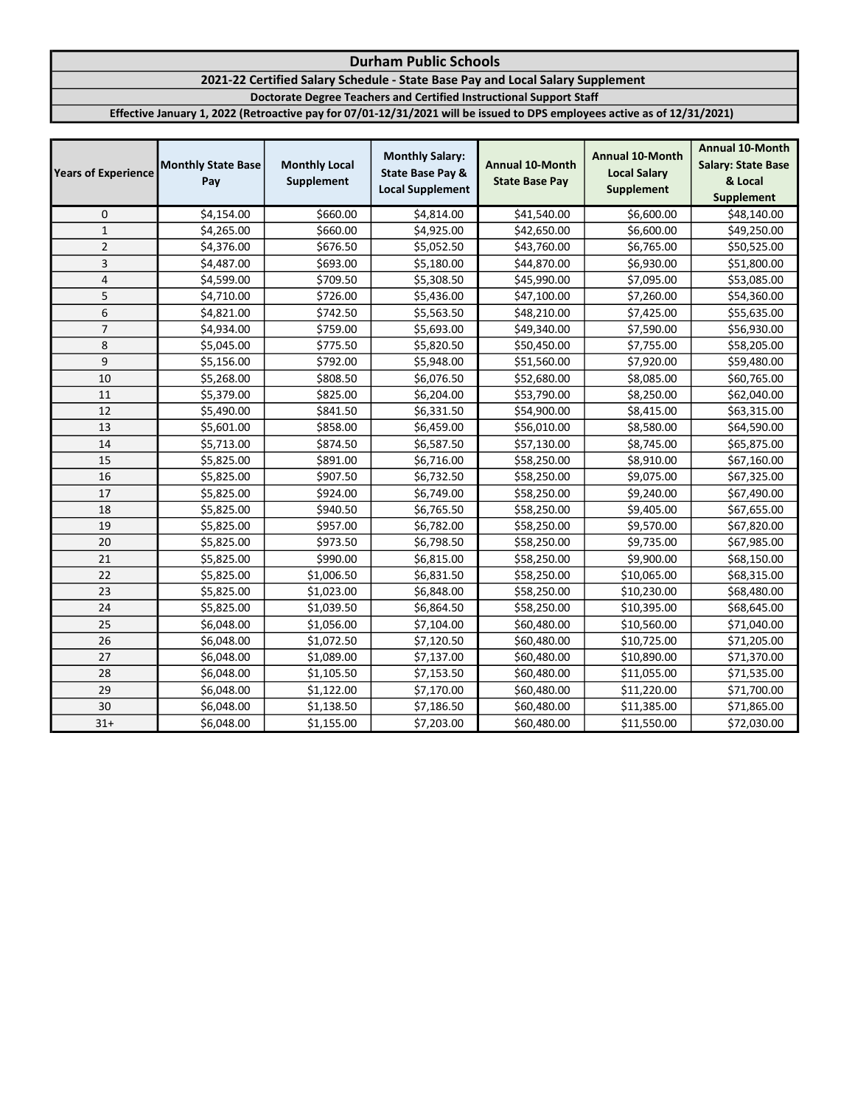## 2021-22 Certified Salary Schedule - State Base Pay and Local Salary Supplement

Doctorate Degree Teachers and Certified Instructional Support Staff

| <b>Years of Experience</b> | <b>Monthly State Base</b><br>Pay | <b>Monthly Local</b><br>Supplement | <b>Monthly Salary:</b><br><b>State Base Pay &amp;</b><br><b>Local Supplement</b> | <b>Annual 10-Month</b><br><b>State Base Pay</b> | <b>Annual 10-Month</b><br><b>Local Salary</b><br><b>Supplement</b> | <b>Annual 10-Month</b><br><b>Salary: State Base</b><br>& Local<br>Supplement |
|----------------------------|----------------------------------|------------------------------------|----------------------------------------------------------------------------------|-------------------------------------------------|--------------------------------------------------------------------|------------------------------------------------------------------------------|
| 0                          | \$4,154.00                       | \$660.00                           | \$4,814.00                                                                       | \$41,540.00                                     | \$6,600.00                                                         | \$48,140.00                                                                  |
| $\mathbf{1}$               | \$4,265.00                       | \$660.00                           | \$4,925.00                                                                       | \$42,650.00                                     | \$6,600.00                                                         | \$49,250.00                                                                  |
| $\overline{2}$             | \$4,376.00                       | \$676.50                           | \$5,052.50                                                                       | \$43,760.00                                     | \$6,765.00                                                         | \$50,525.00                                                                  |
| 3                          | \$4,487.00                       | \$693.00                           | \$5,180.00                                                                       | \$44,870.00                                     | \$6,930.00                                                         | \$51,800.00                                                                  |
| $\pmb{4}$                  | \$4,599.00                       | \$709.50                           | \$5,308.50                                                                       | \$45,990.00                                     | \$7,095.00                                                         | \$53,085.00                                                                  |
| 5                          | \$4,710.00                       | \$726.00                           | \$5,436.00                                                                       | \$47,100.00                                     | \$7,260.00                                                         | \$54,360.00                                                                  |
| 6                          | \$4,821.00                       | \$742.50                           | \$5,563.50                                                                       | \$48,210.00                                     | \$7,425.00                                                         | \$55,635.00                                                                  |
| $\overline{7}$             | \$4,934.00                       | \$759.00                           | \$5,693.00                                                                       | \$49,340.00                                     | \$7,590.00                                                         | \$56,930.00                                                                  |
| 8                          | \$5,045.00                       | \$775.50                           | \$5,820.50                                                                       | \$50,450.00                                     | \$7,755.00                                                         | \$58,205.00                                                                  |
| 9                          | \$5,156.00                       | \$792.00                           | \$5,948.00                                                                       | \$51,560.00                                     | \$7,920.00                                                         | \$59,480.00                                                                  |
| 10                         | \$5,268.00                       | \$808.50                           | \$6,076.50                                                                       | \$52,680.00                                     | \$8,085.00                                                         | \$60,765.00                                                                  |
| 11                         | \$5,379.00                       | \$825.00                           | \$6,204.00                                                                       | \$53,790.00                                     | \$8,250.00                                                         | \$62,040.00                                                                  |
| 12                         | \$5,490.00                       | \$841.50                           | \$6,331.50                                                                       | \$54,900.00                                     | \$8,415.00                                                         | \$63,315.00                                                                  |
| 13                         | \$5,601.00                       | \$858.00                           | \$6,459.00                                                                       | \$56,010.00                                     | \$8,580.00                                                         | \$64,590.00                                                                  |
| 14                         | \$5,713.00                       | \$874.50                           | \$6,587.50                                                                       | \$57,130.00                                     | \$8,745.00                                                         | \$65,875.00                                                                  |
| 15                         | \$5,825.00                       | \$891.00                           | \$6,716.00                                                                       | \$58,250.00                                     | \$8,910.00                                                         | \$67,160.00                                                                  |
| 16                         | \$5,825.00                       | \$907.50                           | \$6,732.50                                                                       | \$58,250.00                                     | \$9,075.00                                                         | \$67,325.00                                                                  |
| 17                         | \$5,825.00                       | \$924.00                           | \$6,749.00                                                                       | \$58,250.00                                     | \$9,240.00                                                         | \$67,490.00                                                                  |
| 18                         | \$5,825.00                       | \$940.50                           | \$6,765.50                                                                       | \$58,250.00                                     | \$9,405.00                                                         | \$67,655.00                                                                  |
| 19                         | \$5,825.00                       | \$957.00                           | \$6,782.00                                                                       | \$58,250.00                                     | \$9,570.00                                                         | \$67,820.00                                                                  |
| 20                         | \$5,825.00                       | \$973.50                           | \$6,798.50                                                                       | \$58,250.00                                     | \$9,735.00                                                         | \$67,985.00                                                                  |
| 21                         | \$5,825.00                       | \$990.00                           | \$6,815.00                                                                       | \$58,250.00                                     | \$9,900.00                                                         | \$68,150.00                                                                  |
| 22                         | \$5,825.00                       | \$1,006.50                         | \$6,831.50                                                                       | \$58,250.00                                     | \$10,065.00                                                        | \$68,315.00                                                                  |
| 23                         | \$5,825.00                       | \$1,023.00                         | \$6,848.00                                                                       | \$58,250.00                                     | \$10,230.00                                                        | \$68,480.00                                                                  |
| 24                         | \$5,825.00                       | \$1,039.50                         | \$6,864.50                                                                       | \$58,250.00                                     | \$10,395.00                                                        | \$68,645.00                                                                  |
| 25                         | \$6,048.00                       | \$1,056.00                         | \$7,104.00                                                                       | \$60,480.00                                     | \$10,560.00                                                        | \$71,040.00                                                                  |
| 26                         | \$6,048.00                       | \$1,072.50                         | \$7,120.50                                                                       | \$60,480.00                                     | \$10,725.00                                                        | \$71,205.00                                                                  |
| 27                         | \$6,048.00                       | \$1,089.00                         | \$7,137.00                                                                       | \$60,480.00                                     | \$10,890.00                                                        | \$71,370.00                                                                  |
| 28                         | \$6,048.00                       | \$1,105.50                         | \$7,153.50                                                                       | \$60,480.00                                     | \$11,055.00                                                        | \$71,535.00                                                                  |
| 29                         | \$6,048.00                       | \$1,122.00                         | \$7,170.00                                                                       | \$60,480.00                                     | \$11,220.00                                                        | \$71,700.00                                                                  |
| 30                         | \$6,048.00                       | \$1,138.50                         | \$7,186.50                                                                       | \$60,480.00                                     | \$11,385.00                                                        | \$71,865.00                                                                  |
| $31+$                      | \$6,048.00                       | \$1,155.00                         | \$7,203.00                                                                       | \$60,480.00                                     | \$11,550.00                                                        | \$72,030.00                                                                  |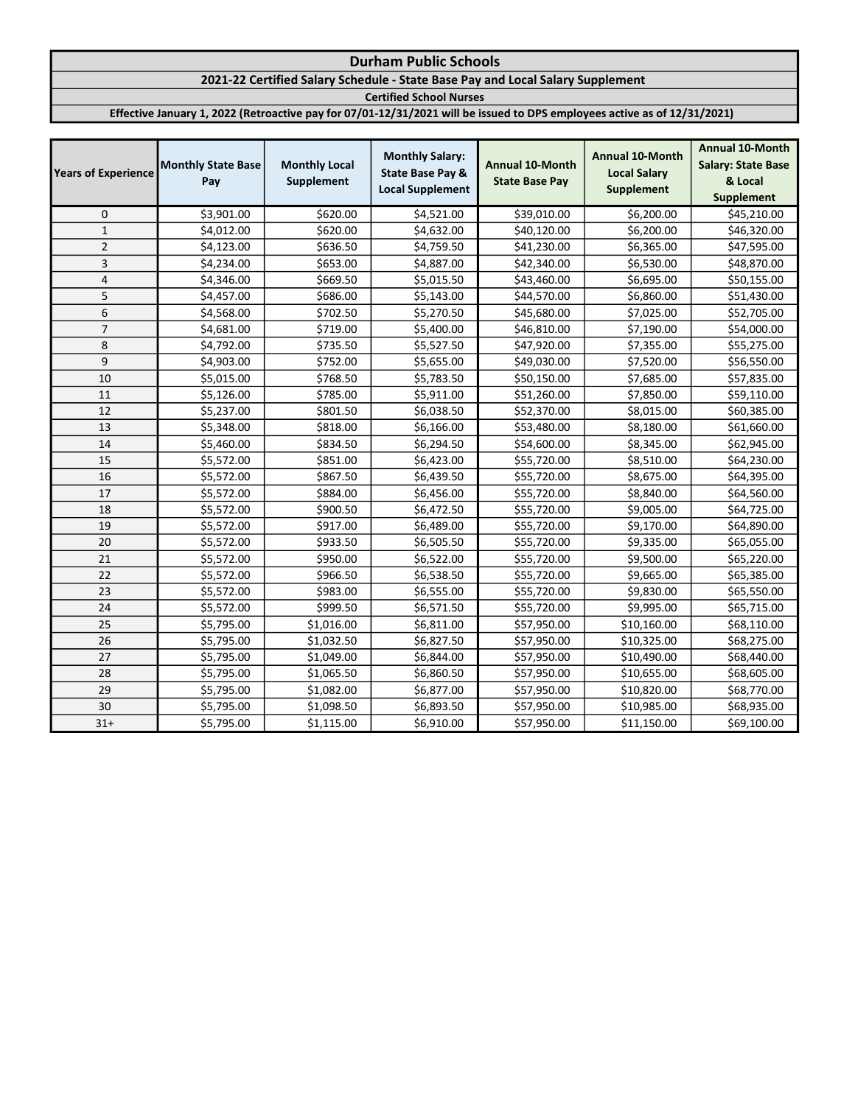## 2021-22 Certified Salary Schedule - State Base Pay and Local Salary Supplement

Certified School Nurses

| <b>Years of Experience</b> | <b>Monthly State Base</b><br>Pay | <b>Monthly Local</b><br>Supplement | <b>Monthly Salary:</b><br><b>State Base Pay &amp;</b><br><b>Local Supplement</b> | <b>Annual 10-Month</b><br><b>State Base Pay</b> | <b>Annual 10-Month</b><br><b>Local Salary</b><br><b>Supplement</b> | <b>Annual 10-Month</b><br><b>Salary: State Base</b><br>& Local<br><b>Supplement</b> |
|----------------------------|----------------------------------|------------------------------------|----------------------------------------------------------------------------------|-------------------------------------------------|--------------------------------------------------------------------|-------------------------------------------------------------------------------------|
| $\mathbf 0$                | \$3,901.00                       | \$620.00                           | \$4,521.00                                                                       | \$39,010.00                                     | \$6,200.00                                                         | \$45,210.00                                                                         |
| $\mathbf 1$                | \$4,012.00                       | \$620.00                           | \$4,632.00                                                                       | \$40,120.00                                     | \$6,200.00                                                         | \$46,320.00                                                                         |
| $\overline{2}$             | \$4,123.00                       | \$636.50                           | \$4,759.50                                                                       | \$41,230.00                                     | \$6,365.00                                                         | \$47,595.00                                                                         |
| 3                          | \$4,234.00                       | \$653.00                           | \$4,887.00                                                                       | \$42,340.00                                     | \$6,530.00                                                         | \$48,870.00                                                                         |
| 4                          | \$4,346.00                       | \$669.50                           | \$5,015.50                                                                       | \$43,460.00                                     | \$6,695.00                                                         | \$50,155.00                                                                         |
| 5                          | \$4,457.00                       | \$686.00                           | \$5,143.00                                                                       | \$44,570.00                                     | \$6,860.00                                                         | \$51,430.00                                                                         |
| 6                          | \$4,568.00                       | \$702.50                           | \$5,270.50                                                                       | \$45,680.00                                     | \$7,025.00                                                         | \$52,705.00                                                                         |
| $\overline{7}$             | \$4,681.00                       | \$719.00                           | \$5,400.00                                                                       | \$46,810.00                                     | \$7,190.00                                                         | \$54,000.00                                                                         |
| 8                          | \$4,792.00                       | \$735.50                           | \$5,527.50                                                                       | \$47,920.00                                     | \$7,355.00                                                         | \$55,275.00                                                                         |
| 9                          | \$4,903.00                       | \$752.00                           | \$5,655.00                                                                       | \$49,030.00                                     | \$7,520.00                                                         | \$56,550.00                                                                         |
| 10                         | \$5,015.00                       | \$768.50                           | \$5,783.50                                                                       | \$50,150.00                                     | \$7,685.00                                                         | \$57,835.00                                                                         |
| 11                         | \$5,126.00                       | \$785.00                           | \$5,911.00                                                                       | \$51,260.00                                     | \$7,850.00                                                         | \$59,110.00                                                                         |
| 12                         | \$5,237.00                       | \$801.50                           | \$6,038.50                                                                       | \$52,370.00                                     | \$8,015.00                                                         | \$60,385.00                                                                         |
| 13                         | \$5,348.00                       | \$818.00                           | \$6,166.00                                                                       | \$53,480.00                                     | \$8,180.00                                                         | \$61,660.00                                                                         |
| 14                         | \$5,460.00                       | \$834.50                           | \$6,294.50                                                                       | \$54,600.00                                     | \$8,345.00                                                         | \$62,945.00                                                                         |
| 15                         | \$5,572.00                       | \$851.00                           | \$6,423.00                                                                       | \$55,720.00                                     | \$8,510.00                                                         | \$64,230.00                                                                         |
| 16                         | \$5,572.00                       | \$867.50                           | \$6,439.50                                                                       | \$55,720.00                                     | \$8,675.00                                                         | \$64,395.00                                                                         |
| 17                         | \$5,572.00                       | \$884.00                           | \$6,456.00                                                                       | \$55,720.00                                     | \$8,840.00                                                         | \$64,560.00                                                                         |
| 18                         | \$5,572.00                       | \$900.50                           | \$6,472.50                                                                       | \$55,720.00                                     | \$9,005.00                                                         | \$64,725.00                                                                         |
| 19                         | \$5,572.00                       | \$917.00                           | \$6,489.00                                                                       | \$55,720.00                                     | \$9,170.00                                                         | \$64,890.00                                                                         |
| 20                         | \$5,572.00                       | \$933.50                           | \$6,505.50                                                                       | \$55,720.00                                     | \$9,335.00                                                         | \$65,055.00                                                                         |
| 21                         | \$5,572.00                       | \$950.00                           | \$6,522.00                                                                       | \$55,720.00                                     | \$9,500.00                                                         | \$65,220.00                                                                         |
| 22                         | \$5,572.00                       | \$966.50                           | \$6,538.50                                                                       | \$55,720.00                                     | \$9,665.00                                                         | \$65,385.00                                                                         |
| 23                         | \$5,572.00                       | \$983.00                           | \$6,555.00                                                                       | \$55,720.00                                     | \$9,830.00                                                         | \$65,550.00                                                                         |
| 24                         | \$5,572.00                       | \$999.50                           | \$6,571.50                                                                       | \$55,720.00                                     | \$9,995.00                                                         | \$65,715.00                                                                         |
| 25                         | \$5,795.00                       | \$1,016.00                         | \$6,811.00                                                                       | \$57,950.00                                     | \$10,160.00                                                        | \$68,110.00                                                                         |
| 26                         | \$5,795.00                       | \$1,032.50                         | \$6,827.50                                                                       | \$57,950.00                                     | \$10,325.00                                                        | \$68,275.00                                                                         |
| 27                         | \$5,795.00                       | \$1,049.00                         | \$6,844.00                                                                       | \$57,950.00                                     | \$10,490.00                                                        | \$68,440.00                                                                         |
| 28                         | \$5,795.00                       | \$1,065.50                         | \$6,860.50                                                                       | \$57,950.00                                     | \$10,655.00                                                        | \$68,605.00                                                                         |
| 29                         | \$5,795.00                       | \$1,082.00                         | \$6,877.00                                                                       | \$57,950.00                                     | \$10,820.00                                                        | \$68,770.00                                                                         |
| 30                         | \$5,795.00                       | \$1,098.50                         | \$6,893.50                                                                       | \$57,950.00                                     | \$10,985.00                                                        | \$68,935.00                                                                         |
| $31+$                      | \$5,795.00                       | \$1,115.00                         | \$6,910.00                                                                       | \$57,950.00                                     | \$11,150.00                                                        | \$69,100.00                                                                         |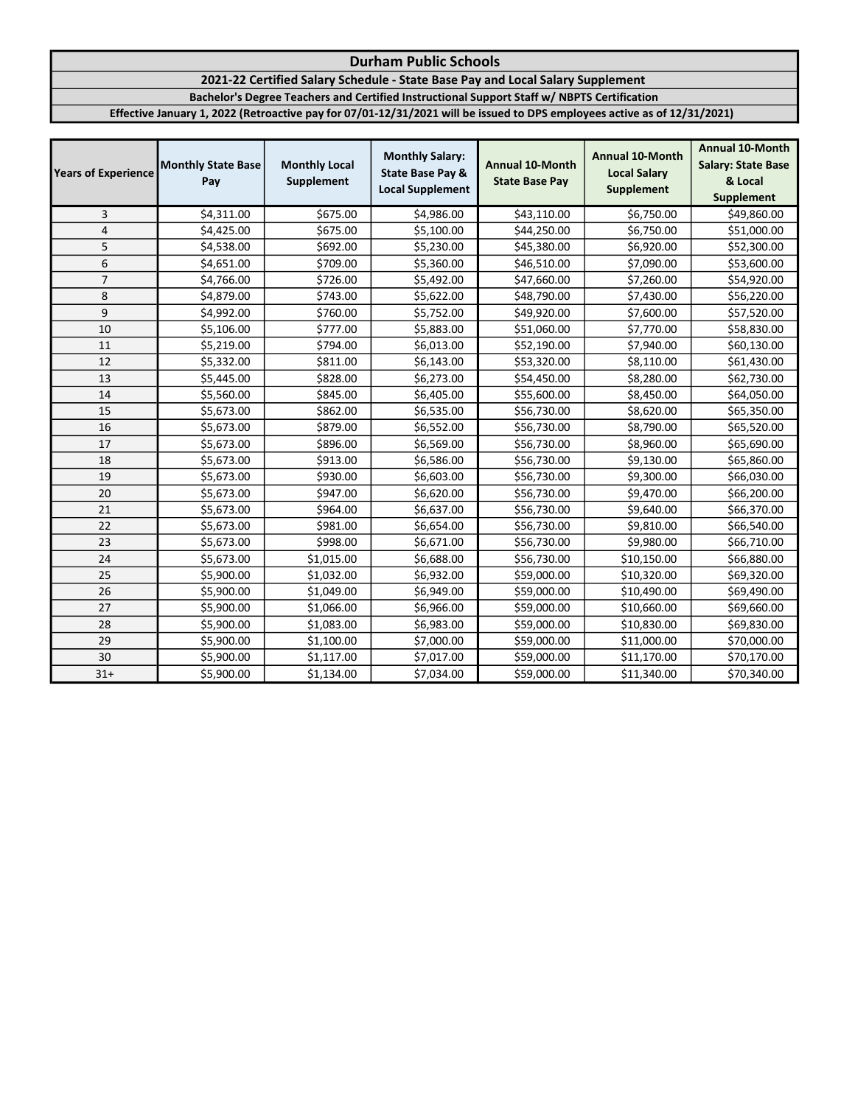## 2021-22 Certified Salary Schedule - State Base Pay and Local Salary Supplement

Bachelor's Degree Teachers and Certified Instructional Support Staff w/ NBPTS Certification

| <b>Years of Experience</b> | <b>Monthly State Base</b><br>Pay | <b>Monthly Local</b><br>Supplement | <b>Monthly Salary:</b><br><b>State Base Pay &amp;</b><br><b>Local Supplement</b> | <b>Annual 10-Month</b><br><b>State Base Pay</b> | <b>Annual 10-Month</b><br><b>Local Salary</b><br><b>Supplement</b> | <b>Annual 10-Month</b><br><b>Salary: State Base</b><br>& Local<br><b>Supplement</b> |
|----------------------------|----------------------------------|------------------------------------|----------------------------------------------------------------------------------|-------------------------------------------------|--------------------------------------------------------------------|-------------------------------------------------------------------------------------|
| 3                          | \$4,311.00                       | \$675.00                           | \$4,986.00                                                                       | \$43,110.00                                     | \$6,750.00                                                         | \$49,860.00                                                                         |
| $\pmb{4}$                  | \$4,425.00                       | \$675.00                           | \$5,100.00                                                                       | \$44,250.00                                     | \$6,750.00                                                         | \$51,000.00                                                                         |
| 5                          | \$4,538.00                       | \$692.00                           | \$5,230.00                                                                       | \$45,380.00                                     | \$6,920.00                                                         | \$52,300.00                                                                         |
| 6                          | \$4,651.00                       | \$709.00                           | \$5,360.00                                                                       | \$46,510.00                                     | \$7,090.00                                                         | \$53,600.00                                                                         |
| $\overline{7}$             | \$4,766.00                       | \$726.00                           | \$5,492.00                                                                       | \$47,660.00                                     | \$7,260.00                                                         | \$54,920.00                                                                         |
| 8                          | \$4,879.00                       | \$743.00                           | \$5,622.00                                                                       | \$48,790.00                                     | \$7,430.00                                                         | \$56,220.00                                                                         |
| 9                          | \$4,992.00                       | \$760.00                           | \$5,752.00                                                                       | \$49,920.00                                     | \$7,600.00                                                         | \$57,520.00                                                                         |
| 10                         | \$5,106.00                       | \$777.00                           | \$5,883.00                                                                       | \$51,060.00                                     | \$7,770.00                                                         | \$58,830.00                                                                         |
| 11                         | \$5,219.00                       | \$794.00                           | \$6,013.00                                                                       | \$52,190.00                                     | \$7,940.00                                                         | \$60,130.00                                                                         |
| 12                         | \$5,332.00                       | \$811.00                           | \$6,143.00                                                                       | \$53,320.00                                     | \$8,110.00                                                         | \$61,430.00                                                                         |
| 13                         | \$5,445.00                       | \$828.00                           | \$6,273.00                                                                       | \$54,450.00                                     | \$8,280.00                                                         | \$62,730.00                                                                         |
| 14                         | \$5,560.00                       | \$845.00                           | \$6,405.00                                                                       | \$55,600.00                                     | \$8,450.00                                                         | \$64,050.00                                                                         |
| 15                         | \$5,673.00                       | \$862.00                           | \$6,535.00                                                                       | \$56,730.00                                     | \$8,620.00                                                         | \$65,350.00                                                                         |
| 16                         | \$5,673.00                       | \$879.00                           | \$6,552.00                                                                       | \$56,730.00                                     | \$8,790.00                                                         | \$65,520.00                                                                         |
| 17                         | \$5,673.00                       | \$896.00                           | \$6,569.00                                                                       | \$56,730.00                                     | \$8,960.00                                                         | \$65,690.00                                                                         |
| 18                         | \$5,673.00                       | \$913.00                           | \$6,586.00                                                                       | \$56,730.00                                     | \$9,130.00                                                         | \$65,860.00                                                                         |
| 19                         | \$5,673.00                       | \$930.00                           | \$6,603.00                                                                       | \$56,730.00                                     | \$9,300.00                                                         | \$66,030.00                                                                         |
| 20                         | \$5,673.00                       | \$947.00                           | \$6,620.00                                                                       | \$56,730.00                                     | \$9,470.00                                                         | \$66,200.00                                                                         |
| 21                         | \$5,673.00                       | \$964.00                           | \$6,637.00                                                                       | \$56,730.00                                     | \$9,640.00                                                         | \$66,370.00                                                                         |
| 22                         | \$5,673.00                       | \$981.00                           | \$6,654.00                                                                       | \$56,730.00                                     | \$9,810.00                                                         | \$66,540.00                                                                         |
| 23                         | \$5,673.00                       | \$998.00                           | \$6,671.00                                                                       | \$56,730.00                                     | \$9,980.00                                                         | \$66,710.00                                                                         |
| 24                         | \$5,673.00                       | \$1,015.00                         | \$6,688.00                                                                       | \$56,730.00                                     | \$10,150.00                                                        | \$66,880.00                                                                         |
| 25                         | \$5,900.00                       | \$1,032.00                         | \$6,932.00                                                                       | \$59,000.00                                     | \$10,320.00                                                        | \$69,320.00                                                                         |
| 26                         | \$5,900.00                       | \$1,049.00                         | \$6,949.00                                                                       | \$59,000.00                                     | \$10,490.00                                                        | \$69,490.00                                                                         |
| 27                         | \$5,900.00                       | \$1,066.00                         | \$6,966.00                                                                       | \$59,000.00                                     | \$10,660.00                                                        | \$69,660.00                                                                         |
| 28                         | \$5,900.00                       | \$1,083.00                         | \$6,983.00                                                                       | \$59,000.00                                     | \$10,830.00                                                        | \$69,830.00                                                                         |
| 29                         | \$5,900.00                       | \$1,100.00                         | \$7,000.00                                                                       | \$59,000.00                                     | \$11,000.00                                                        | \$70,000.00                                                                         |
| 30                         | \$5,900.00                       | \$1,117.00                         | \$7,017.00                                                                       | \$59,000.00                                     | \$11,170.00                                                        | \$70,170.00                                                                         |
| $31+$                      | \$5,900.00                       | \$1,134.00                         | \$7,034.00                                                                       | \$59,000.00                                     | \$11,340.00                                                        | \$70,340.00                                                                         |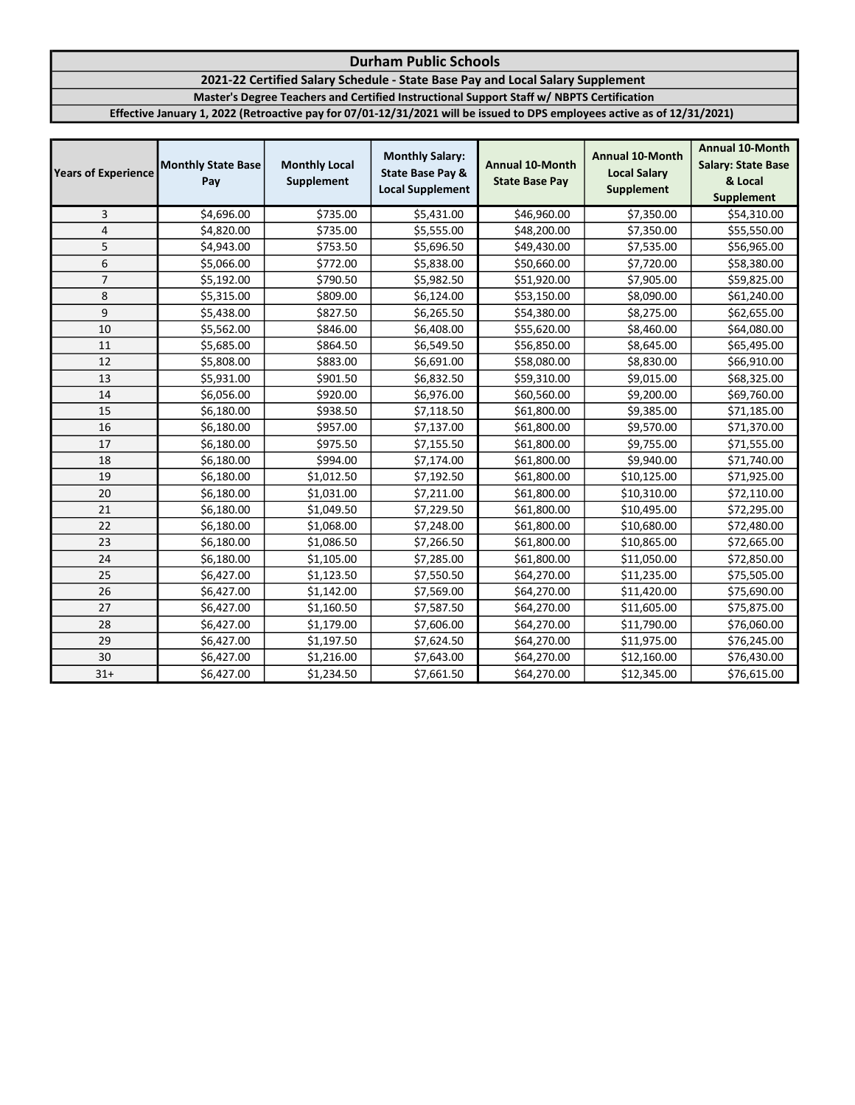## 2021-22 Certified Salary Schedule - State Base Pay and Local Salary Supplement

Master's Degree Teachers and Certified Instructional Support Staff w/ NBPTS Certification

| <b>Years of Experience</b> | <b>Monthly State Base</b><br>Pay | <b>Monthly Local</b><br>Supplement | <b>Monthly Salary:</b><br><b>State Base Pay &amp;</b><br><b>Local Supplement</b> | <b>Annual 10-Month</b><br><b>State Base Pay</b> | <b>Annual 10-Month</b><br><b>Local Salary</b><br><b>Supplement</b> | <b>Annual 10-Month</b><br><b>Salary: State Base</b><br>& Local<br><b>Supplement</b> |
|----------------------------|----------------------------------|------------------------------------|----------------------------------------------------------------------------------|-------------------------------------------------|--------------------------------------------------------------------|-------------------------------------------------------------------------------------|
| 3                          | \$4,696.00                       | \$735.00                           | \$5,431.00                                                                       | \$46,960.00                                     | \$7,350.00                                                         | \$54,310.00                                                                         |
| $\overline{\mathbf{4}}$    | \$4,820.00                       | \$735.00                           | \$5,555.00                                                                       | \$48,200.00                                     | \$7,350.00                                                         | \$55,550.00                                                                         |
| 5                          | \$4,943.00                       | \$753.50                           | \$5,696.50                                                                       | \$49,430.00                                     | \$7,535.00                                                         | \$56,965.00                                                                         |
| 6                          | \$5,066.00                       | \$772.00                           | \$5,838.00                                                                       | \$50,660.00                                     | \$7,720.00                                                         | \$58,380.00                                                                         |
| $\overline{7}$             | \$5,192.00                       | \$790.50                           | \$5,982.50                                                                       | \$51,920.00                                     | \$7,905.00                                                         | \$59,825.00                                                                         |
| 8                          | \$5,315.00                       | \$809.00                           | \$6,124.00                                                                       | \$53,150.00                                     | \$8,090.00                                                         | \$61,240.00                                                                         |
| 9                          | \$5,438.00                       | \$827.50                           | \$6,265.50                                                                       | \$54,380.00                                     | \$8,275.00                                                         | \$62,655.00                                                                         |
| 10                         | \$5,562.00                       | \$846.00                           | \$6,408.00                                                                       | \$55,620.00                                     | \$8,460.00                                                         | \$64,080.00                                                                         |
| 11                         | \$5,685.00                       | \$864.50                           | \$6,549.50                                                                       | \$56,850.00                                     | \$8,645.00                                                         | \$65,495.00                                                                         |
| 12                         | \$5,808.00                       | \$883.00                           | \$6,691.00                                                                       | \$58,080.00                                     | \$8,830.00                                                         | \$66,910.00                                                                         |
| 13                         | \$5,931.00                       | \$901.50                           | \$6,832.50                                                                       | \$59,310.00                                     | \$9,015.00                                                         | \$68,325.00                                                                         |
| 14                         | \$6,056.00                       | \$920.00                           | \$6,976.00                                                                       | \$60,560.00                                     | \$9,200.00                                                         | \$69,760.00                                                                         |
| 15                         | \$6,180.00                       | \$938.50                           | \$7,118.50                                                                       | \$61,800.00                                     | \$9,385.00                                                         | \$71,185.00                                                                         |
| 16                         | \$6,180.00                       | \$957.00                           | \$7,137.00                                                                       | \$61,800.00                                     | \$9,570.00                                                         | \$71,370.00                                                                         |
| 17                         | \$6,180.00                       | \$975.50                           | \$7,155.50                                                                       | \$61,800.00                                     | \$9,755.00                                                         | \$71,555.00                                                                         |
| 18                         | \$6,180.00                       | \$994.00                           | \$7,174.00                                                                       | \$61,800.00                                     | \$9,940.00                                                         | \$71,740.00                                                                         |
| 19                         | \$6,180.00                       | \$1,012.50                         | \$7,192.50                                                                       | \$61,800.00                                     | \$10,125.00                                                        | \$71,925.00                                                                         |
| 20                         | \$6,180.00                       | \$1,031.00                         | \$7,211.00                                                                       | \$61,800.00                                     | \$10,310.00                                                        | \$72,110.00                                                                         |
| 21                         | \$6,180.00                       | \$1,049.50                         | \$7,229.50                                                                       | \$61,800.00                                     | \$10,495.00                                                        | \$72,295.00                                                                         |
| 22                         | \$6,180.00                       | \$1,068.00                         | \$7,248.00                                                                       | \$61,800.00                                     | \$10,680.00                                                        | \$72,480.00                                                                         |
| 23                         | \$6,180.00                       | \$1,086.50                         | \$7,266.50                                                                       | \$61,800.00                                     | \$10,865.00                                                        | \$72,665.00                                                                         |
| 24                         | \$6,180.00                       | \$1,105.00                         | \$7,285.00                                                                       | \$61,800.00                                     | \$11,050.00                                                        | \$72,850.00                                                                         |
| 25                         | \$6,427.00                       | \$1,123.50                         | \$7,550.50                                                                       | \$64,270.00                                     | \$11,235.00                                                        | \$75,505.00                                                                         |
| 26                         | \$6,427.00                       | \$1,142.00                         | \$7,569.00                                                                       | \$64,270.00                                     | \$11,420.00                                                        | \$75,690.00                                                                         |
| 27                         | \$6,427.00                       | \$1,160.50                         | \$7,587.50                                                                       | \$64,270.00                                     | \$11,605.00                                                        | \$75,875.00                                                                         |
| 28                         | \$6,427.00                       | \$1,179.00                         | \$7,606.00                                                                       | \$64,270.00                                     | \$11,790.00                                                        | \$76,060.00                                                                         |
| 29                         | \$6,427.00                       | \$1,197.50                         | \$7,624.50                                                                       | \$64,270.00                                     | \$11,975.00                                                        | \$76,245.00                                                                         |
| 30                         | \$6,427.00                       | \$1,216.00                         | \$7,643.00                                                                       | \$64,270.00                                     | \$12,160.00                                                        | \$76,430.00                                                                         |
| $31+$                      | \$6,427.00                       | \$1,234.50                         | \$7,661.50                                                                       | \$64,270.00                                     | \$12,345.00                                                        | \$76,615.00                                                                         |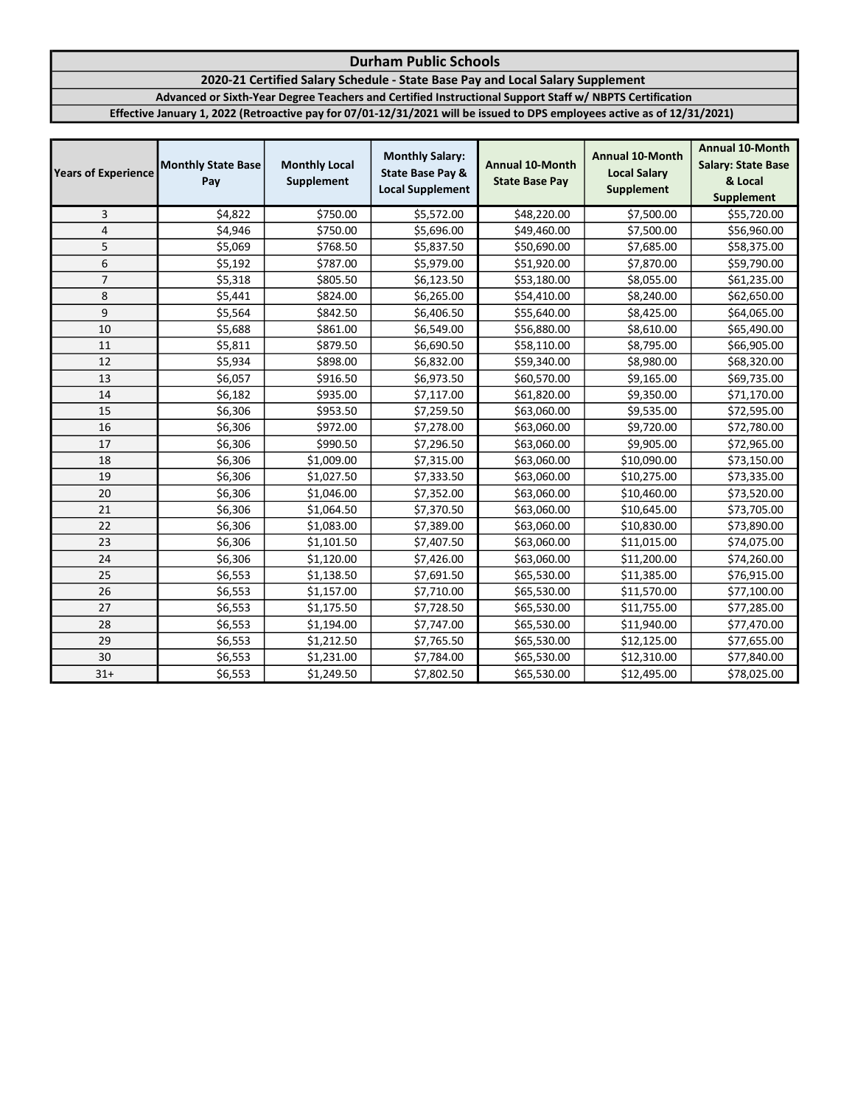## 2020-21 Certified Salary Schedule - State Base Pay and Local Salary Supplement

Advanced or Sixth-Year Degree Teachers and Certified Instructional Support Staff w/ NBPTS Certification

| <b>Years of Experience</b> | <b>Monthly State Base</b><br>Pay | <b>Monthly Local</b><br>Supplement | <b>Monthly Salary:</b><br><b>State Base Pay &amp;</b><br><b>Local Supplement</b> | <b>Annual 10-Month</b><br><b>State Base Pay</b> | <b>Annual 10-Month</b><br><b>Local Salary</b><br><b>Supplement</b> | <b>Annual 10-Month</b><br><b>Salary: State Base</b><br>& Local<br><b>Supplement</b> |
|----------------------------|----------------------------------|------------------------------------|----------------------------------------------------------------------------------|-------------------------------------------------|--------------------------------------------------------------------|-------------------------------------------------------------------------------------|
| 3                          | \$4,822                          | \$750.00                           | \$5,572.00                                                                       | \$48,220.00                                     | \$7,500.00                                                         | \$55,720.00                                                                         |
| $\pmb{4}$                  | \$4,946                          | \$750.00                           | \$5,696.00                                                                       | \$49,460.00                                     | \$7,500.00                                                         | \$56,960.00                                                                         |
| 5                          | \$5,069                          | \$768.50                           | \$5,837.50                                                                       | \$50,690.00                                     | \$7,685.00                                                         | \$58,375.00                                                                         |
| 6                          | \$5,192                          | \$787.00                           | \$5,979.00                                                                       | \$51,920.00                                     | \$7,870.00                                                         | \$59,790.00                                                                         |
| $\overline{7}$             | \$5,318                          | \$805.50                           | \$6,123.50                                                                       | \$53,180.00                                     | \$8,055.00                                                         | \$61,235.00                                                                         |
| 8                          | \$5,441                          | \$824.00                           | \$6,265.00                                                                       | \$54,410.00                                     | \$8,240.00                                                         | \$62,650.00                                                                         |
| 9                          | \$5,564                          | \$842.50                           | \$6,406.50                                                                       | \$55,640.00                                     | \$8,425.00                                                         | \$64,065.00                                                                         |
| 10                         | \$5,688                          | \$861.00                           | \$6,549.00                                                                       | \$56,880.00                                     | \$8,610.00                                                         | \$65,490.00                                                                         |
| 11                         | \$5,811                          | \$879.50                           | \$6,690.50                                                                       | \$58,110.00                                     | \$8,795.00                                                         | \$66,905.00                                                                         |
| 12                         | \$5,934                          | \$898.00                           | \$6,832.00                                                                       | \$59,340.00                                     | \$8,980.00                                                         | \$68,320.00                                                                         |
| 13                         | \$6,057                          | \$916.50                           | \$6,973.50                                                                       | \$60,570.00                                     | \$9,165.00                                                         | \$69,735.00                                                                         |
| 14                         | \$6,182                          | \$935.00                           | \$7,117.00                                                                       | \$61,820.00                                     | \$9,350.00                                                         | \$71,170.00                                                                         |
| 15                         | \$6,306                          | \$953.50                           | \$7,259.50                                                                       | \$63,060.00                                     | \$9,535.00                                                         | \$72,595.00                                                                         |
| 16                         | \$6,306                          | \$972.00                           | \$7,278.00                                                                       | \$63,060.00                                     | \$9,720.00                                                         | \$72,780.00                                                                         |
| 17                         | \$6,306                          | \$990.50                           | \$7,296.50                                                                       | \$63,060.00                                     | \$9,905.00                                                         | \$72,965.00                                                                         |
| 18                         | \$6,306                          | \$1,009.00                         | \$7,315.00                                                                       | \$63,060.00                                     | \$10,090.00                                                        | \$73,150.00                                                                         |
| 19                         | \$6,306                          | \$1,027.50                         | \$7,333.50                                                                       | \$63,060.00                                     | \$10,275.00                                                        | \$73,335.00                                                                         |
| 20                         | \$6,306                          | \$1,046.00                         | \$7,352.00                                                                       | \$63,060.00                                     | \$10,460.00                                                        | \$73,520.00                                                                         |
| 21                         | \$6,306                          | \$1,064.50                         | \$7,370.50                                                                       | \$63,060.00                                     | \$10,645.00                                                        | \$73,705.00                                                                         |
| 22                         | \$6,306                          | \$1,083.00                         | \$7,389.00                                                                       | \$63,060.00                                     | \$10,830.00                                                        | \$73,890.00                                                                         |
| 23                         | \$6,306                          | \$1,101.50                         | \$7,407.50                                                                       | \$63,060.00                                     | \$11,015.00                                                        | \$74,075.00                                                                         |
| 24                         | \$6,306                          | \$1,120.00                         | \$7,426.00                                                                       | \$63,060.00                                     | \$11,200.00                                                        | \$74,260.00                                                                         |
| 25                         | \$6,553                          | \$1,138.50                         | \$7,691.50                                                                       | \$65,530.00                                     | \$11,385.00                                                        | \$76,915.00                                                                         |
| 26                         | \$6,553                          | \$1,157.00                         | \$7,710.00                                                                       | \$65,530.00                                     | \$11,570.00                                                        | \$77,100.00                                                                         |
| 27                         | \$6,553                          | \$1,175.50                         | \$7,728.50                                                                       | \$65,530.00                                     | \$11,755.00                                                        | \$77,285.00                                                                         |
| 28                         | \$6,553                          | \$1,194.00                         | \$7,747.00                                                                       | \$65,530.00                                     | \$11,940.00                                                        | \$77,470.00                                                                         |
| 29                         | \$6,553                          | \$1,212.50                         | \$7,765.50                                                                       | \$65,530.00                                     | \$12,125.00                                                        | \$77,655.00                                                                         |
| 30                         | \$6,553                          | \$1,231.00                         | \$7,784.00                                                                       | \$65,530.00                                     | \$12,310.00                                                        | \$77,840.00                                                                         |
| $31+$                      | \$6,553                          | \$1,249.50                         | \$7,802.50                                                                       | \$65,530.00                                     | \$12,495.00                                                        | \$78,025.00                                                                         |